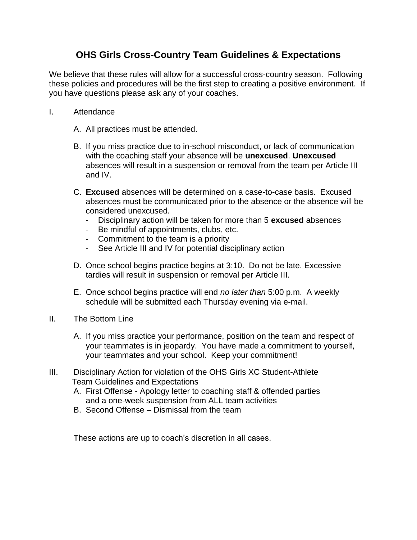## **OHS Girls Cross-Country Team Guidelines & Expectations**

We believe that these rules will allow for a successful cross-country season. Following these policies and procedures will be the first step to creating a positive environment. If you have questions please ask any of your coaches.

- I. Attendance
	- A. All practices must be attended.
	- B. If you miss practice due to in-school misconduct, or lack of communication with the coaching staff your absence will be **unexcused**. **Unexcused**  absences will result in a suspension or removal from the team per Article III and IV.
	- C. **Excused** absences will be determined on a case-to-case basis. Excused absences must be communicated prior to the absence or the absence will be considered unexcused.
		- Disciplinary action will be taken for more than 5 **excused** absences
		- Be mindful of appointments, clubs, etc.
		- Commitment to the team is a priority
		- See Article III and IV for potential disciplinary action
	- D. Once school begins practice begins at 3:10. Do not be late. Excessive tardies will result in suspension or removal per Article III.
	- E. Once school begins practice will end *no later than* 5:00 p.m. A weekly schedule will be submitted each Thursday evening via e-mail.
- II. The Bottom Line
	- A. If you miss practice your performance, position on the team and respect of your teammates is in jeopardy. You have made a commitment to yourself, your teammates and your school. Keep your commitment!
- III. Disciplinary Action for violation of the OHS Girls XC Student-Athlete Team Guidelines and Expectations
	- A. First Offense Apology letter to coaching staff & offended parties and a one-week suspension from ALL team activities
	- B. Second Offense Dismissal from the team

These actions are up to coach's discretion in all cases.